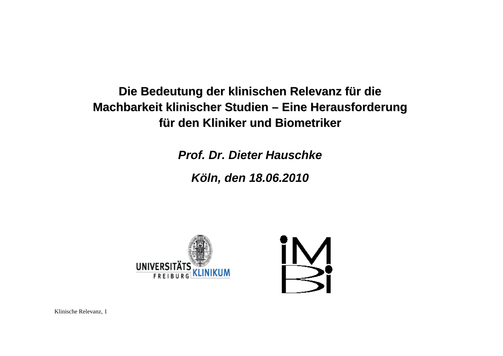#### **Die Bedeutung der klinischen Relevanz für die Machbarkeit klinischer Studien – Eine Herausforderung für den Kliniker und Biometriker r den Kliniker und Biometriker**

*Prof. Dr. Dieter Hauschke*

*Köln, den 18.06.2010*





Klinische Relevanz, 1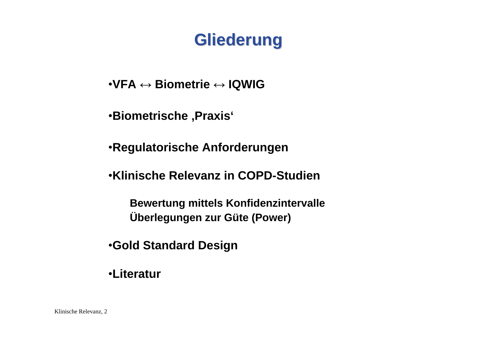## **Gliederung Gliederung**

•**VFA** ↔ **Biometrie** <sup>↔</sup> **IQWIG**

•**Biometrische 'Praxis'**

•**Regulatorische Anforderungen**

•**Klinische Relevanz in COPD-Studien**

**Bewertung mittels Konfidenzintervalle Überlegungen zur Güte (Power)** 

•**Gold Standard Design**

•**Literatur**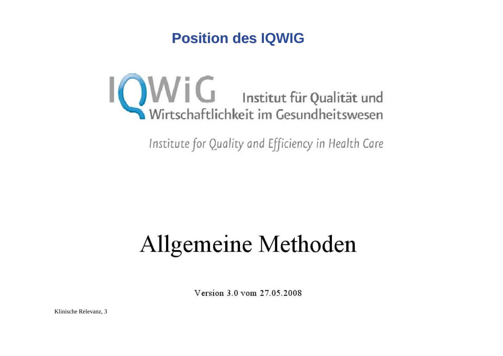

Institute for Quality and Efficiency in Health Care

# Allgemeine Methoden

Version 3.0 vom 27.05.2008

Klinische Relevanz, 3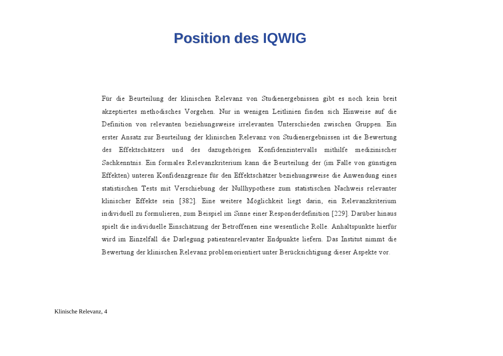Für die Beurteilung der klinischen Relevanz von Studienergebnissen gibt es noch kein breit akzeptiertes methodisches Vorgehen. Nur in wenigen Leitlinien finden sich Hinweise auf die Definition von relevanten beziehungsweise irrelevanten Unterschieden zwischen Gruppen. Ein erster Ansatz zur Beurteilung der klinischen Relevanz von Studienergebnissen ist die Bewertung des Effektschätzers und des dazugehörigen Konfidenzintervalls mithilfe medizinischer Sachkenntnis. Ein formales Relevanzkriterium kann die Beurteilung der (im Falle von günstigen Effekten) unteren Konfidenzgrenze für den Effektschätzer beziehungsweise die Anwendung eines statistischen Tests mit Verschiebung der Nullhypothese zum statistischen Nachweis relevanter klinischer Effekte sein [382]. Eine weitere Möglichkeit liegt darin, ein Relevanzkriterium individuell zu formulieren, zum Beispiel im Sinne einer Responderdefinition [229]. Darüber hinaus spielt die individuelle Einschätzung der Betroffenen eine wesentliche Rolle. Anhaltspunkte hierfür wird im Einzelfall die Darlegung patientenrelevanter Endpunkte liefern. Das Institut nimmt die Bewertung der klinischen Relevanz problemorientiert unter Berücksichtigung dieser Aspekte vor.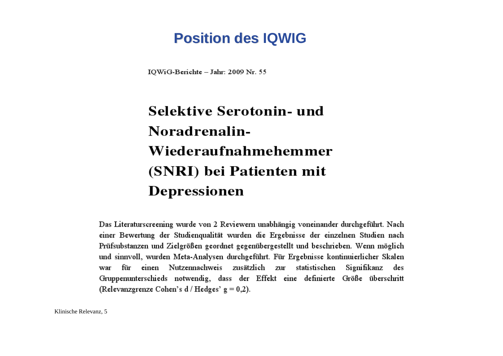IOWiG-Berichte - Jahr: 2009 Nr. 55

## Selektive Serotonin- und Noradrenalin-Wiederaufnahmehemmer (SNRI) bei Patienten mit **Depressionen**

Das Literaturscreening wurde von 2 Reviewern unabhängig voneinander durchgeführt. Nach einer Bewertung der Studienqualität wurden die Ergebnisse der einzelnen Studien nach Prüfsubstanzen und Zielgrößen geordnet gegenübergestellt und beschrieben. Wenn möglich und sinnvoll, wurden Meta-Analysen durchgeführt. Für Ergebnisse kontinuierlicher Skalen einen Nutzennachweis zusätzlich zur statistischen für Signifikanz des war Gruppenunterschieds notwendig, dass der Effekt eine definierte Größe überschritt (Relevanzgrenze Cohen's  $d / H$ edges' g = 0,2).

Klinische Relevanz, 5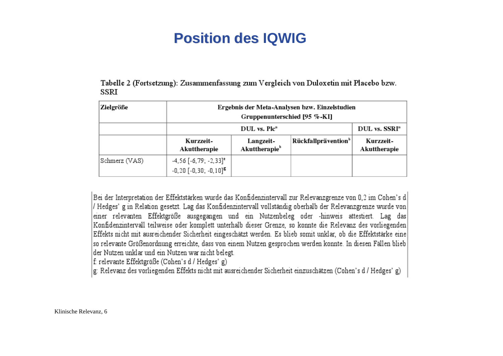Tabelle 2 (Fortsetzung): Zusammenfassung zum Vergleich von Duloxetin mit Placebo bzw. **SSRI** 

| Zielgröße     | Ergebnis der Meta-Analysen bzw. Einzelstudien<br>Gruppenunterschied [95 %-KI]     |                                        |                                 |                           |
|---------------|-----------------------------------------------------------------------------------|----------------------------------------|---------------------------------|---------------------------|
|               | DUL vs. Plc <sup>a</sup>                                                          |                                        |                                 | DUL vs. SSRI <sup>n</sup> |
|               | Kurzzeit-<br>Akuttherapie                                                         | Langzeit-<br>Akuttherapie <sup>b</sup> | Rückfallprävention <sup>b</sup> | Kurzzeit-<br>Akuttherapie |
| Schmerz (VAS) | $-4,56$ $[-6,79; -2,33]$ <sup>e</sup><br>$-0, 20$ $[-0, 30, -0, 10]$ <sup>g</sup> |                                        |                                 |                           |

Bei der Interpretation der Effektstärken wurde das Konfidenzintervall zur Relevanzgrenze von 0,2 im Cohen's d / Hedges' g in Relation gesetzt. Lag das Konfidenzintervall vollständig oberhalb der Relevanzgrenze wurde von einer relevanten Effektgröße ausgegangen und ein Nutzenbeleg oder hinweis attestiert. Lag das Konfidenzintervall teilweise oder komplett unterhalb dieser Grenze, so konnte die Relevanz des vorliegenden Effekts nicht mit ausreichender Sicherheit eingeschätzt werden. Es blieb somit unklar, ob die Effektstärke eine so relevante Größenordnung erreichte, dass von einem Nutzen gesprochen werden konnte. In diesen Fällen blieb der Nutzen unklar und ein Nutzen war nicht belegt.

f: relevante Effektgröße (Cohen's d / Hedges' g)

g: Relevanz des vorliegenden Effekts nicht mit ausreichender Sicherheit einzuschätzen (Cohen's d/Hedges' g)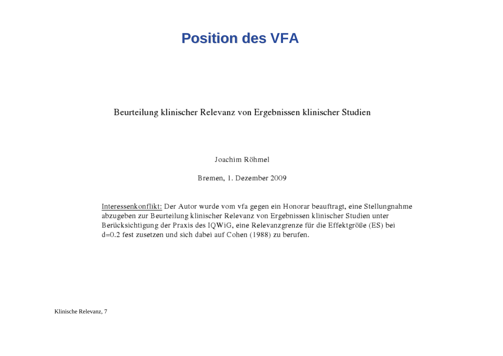#### **Position des VFA Position des**

#### Beurteilung klinischer Relevanz von Ergebnissen klinischer Studien

Joachim Röhmel

Bremen, 1. Dezember 2009

Interessenkonflikt: Der Autor wurde vom vfa gegen ein Honorar beauftragt, eine Stellungnahme abzugeben zur Beurteilung klinischer Relevanz von Ergebnissen klinischer Studien unter Berücksichtigung der Praxis des IQWiG, eine Relevanzgrenze für die Effektgröße (ES) bei d=0.2 fest zusetzen und sich dabei auf Cohen (1988) zu berufen.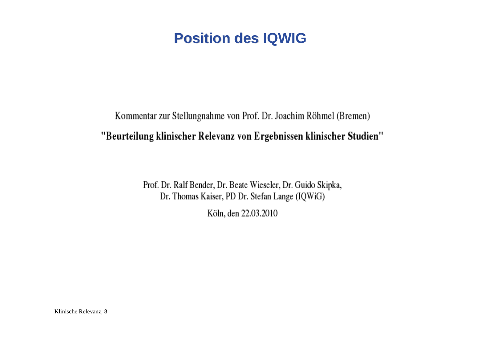Kommentar zur Stellungnahme von Prof. Dr. Joachim Röhmel (Bremen) "Beurteilung klinischer Relevanz von Ergebnissen klinischer Studien"

> Prof. Dr. Ralf Bender, Dr. Beate Wieseler, Dr. Guido Skipka, Dr. Thomas Kaiser, PD Dr. Stefan Lange (IQWiG)

> > Köln, den 22.03.2010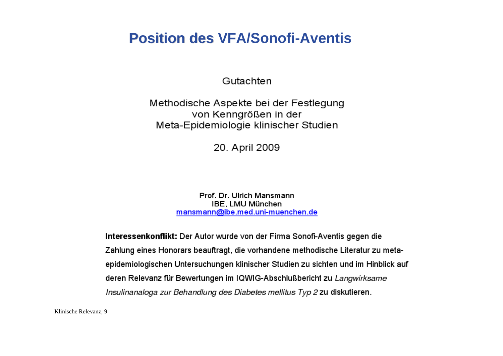#### **Position des VFA/Sonofi-Aventis Position des**

Gutachten

Methodische Aspekte bei der Festlegung von Kenngrößen in der Meta-Epidemiologie klinischer Studien

20. April 2009

Prof. Dr. Ulrich Mansmann IBE, LMU München mansmann@ibe.med.uni-muenchen.de

Interessenkonflikt: Der Autor wurde von der Firma Sonofi-Aventis gegen die Zahlung eines Honorars beauftragt, die vorhandene methodische Literatur zu metaepidemiologischen Untersuchungen klinischer Studien zu sichten und im Hinblick auf deren Relevanz für Bewertungen im IQWIG-Abschlußbericht zu Langwirksame Insulinanaloga zur Behandlung des Diabetes mellitus Typ 2 zu diskutieren.

Klinische Relevanz, 9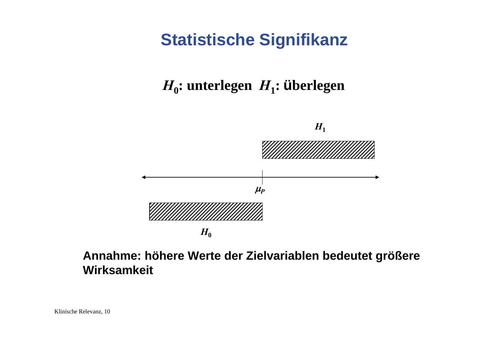## **Statistische Signifikanz**

#### $H_0$ : unterlegen  $H_1$ : überlegen



#### Annahme: höhere Werte der Zielvariablen bedeutet größere Wirksamkeit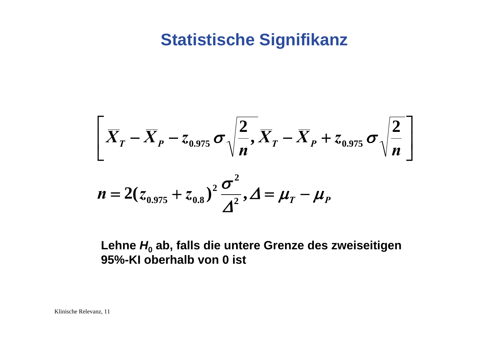#### **Statistische Signifikanz**

$$
\left[ \overline{X}_{T} - \overline{X}_{P} - z_{0.975} \sigma \sqrt{\frac{2}{n}}, \overline{X}_{T} - \overline{X}_{P} + z_{0.975} \sigma \sqrt{\frac{2}{n}} \right]
$$
  

$$
n = 2(z_{0.975} + z_{0.8})^{2} \frac{\sigma^{2}}{\Delta^{2}}, \Delta = \mu_{T} - \mu_{P}
$$

Lehne  $H_0$  ab, falls die untere Grenze des zweiseitigen 95%-KI oberhalb von 0 ist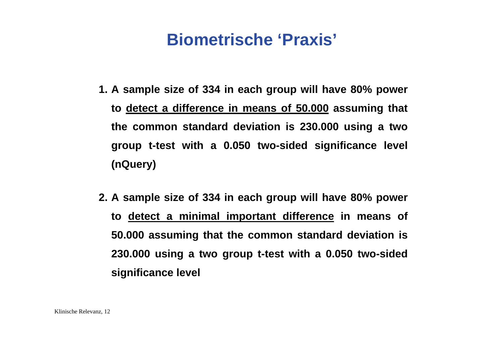## **Biometrische 'Praxis'**

- **1. A sample size of 334 in each group will have 80% power to detect a difference in means of 50.000 assuming that the common standard deviation is 230.000 using a two group t-test with a 0.050 two-sided significance level (nQuery)**
- **2. A sample size of 334 in each group will have 80% power to detect a minimal important difference in means of 50.000 assuming that the common standard deviation is 230.000 using a two group t-test with a 0.050 two-sided significance level**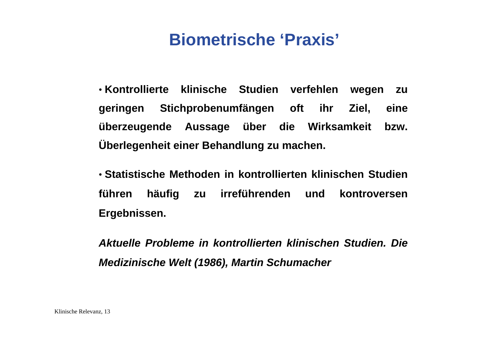### **Biometrische 'Praxis'**

• **Kontrollierte klinische Studien verfehlen wegen zu geringen Stichprobenumfängen oft ihr Ziel, eine überzeugende Aussage über die Wirksamkeit bzw. Überlegenheit einer Behandlung zu machen.**

• **Statistische Methoden in kontrollierten klinischen Studien führen häufig zu irreführenden und kontroversen Ergebnissen.**

*Aktuelle Probleme in kontrollierten klinischen Studien. Die Medizinische Welt (1986), Martin Schumacher*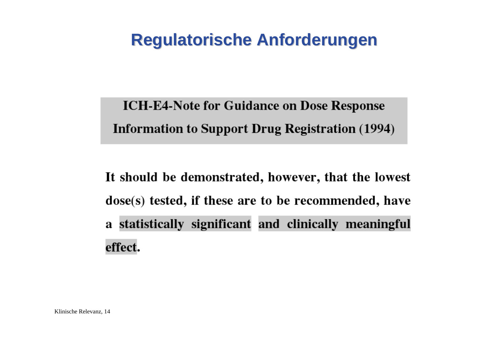## **Regulatorische Anforderungen**

**ICH-E4-Note for Guidance on Dose Response Information to Support Drug Registration (1994)** 

It should be demonstrated, however, that the lowest dose(s) tested, if these are to be recommended, have a statistically significant and clinically meaningful effect.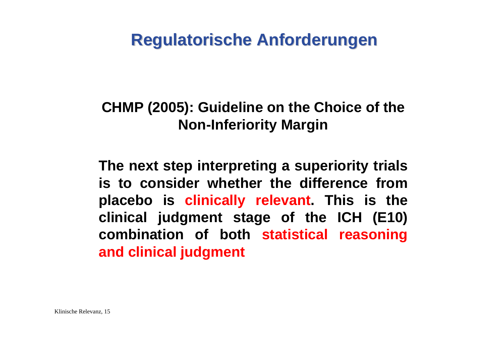## **Regulatorische Anforderungen**

#### **CHMP (2005): Guideline on the Choice of the Non-Inferiority Margin**

**The next step interpreting a superiority trials is to consider whether the difference from placebo is clinically relevant. This is the clinical judgment stage of the ICH (E10) combination of both statistical reasoning and clinical judgment**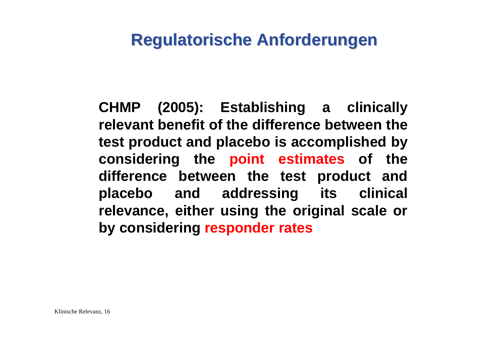### **Regulatorische Anforderungen**

**CHMP (2005): Establishing a clinically relevant benefit of the difference between the test product and placebo is accomplished by considering the point estimates of the difference between the test product and placebo and addressing its clinical relevance, either using the original scale or by considering responder rates**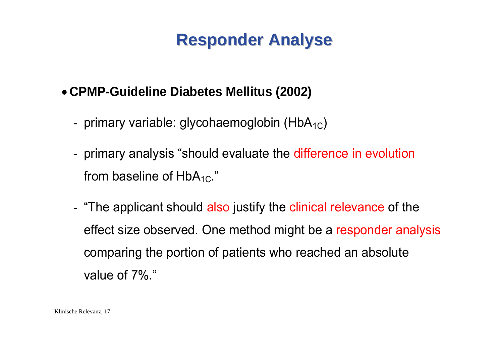## **Responder Responder Analyse Analyse**

#### **CPMP-Guideline Diabetes Mellitus (2002)**

- primary variable: glycohaemoglobin (HbA<sub>1C</sub>)
- primary analysis "should evaluate the difference in evolution from baseline of  $HbA_{1C}$ ."
- "The applicant should also justify the clinical relevance of the effect size observed. One method might be a responder analysis comparing the portion of patients who reached an absolute value of 7%."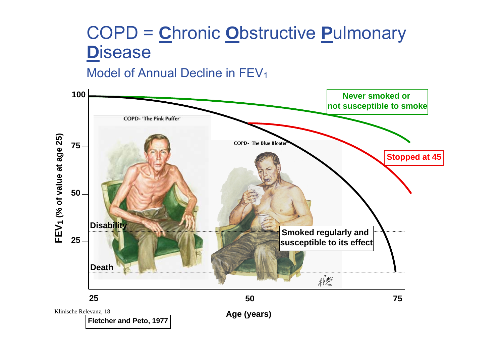## COPD = **C**hronic **O**bstructive **P**ulmonary **D**isease

Model of Annual Decline in FEV $_{\rm 1}$ 

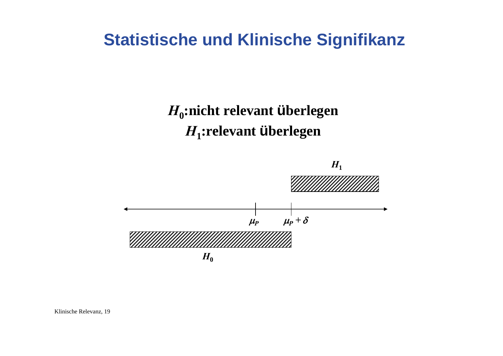### **Statistische und Klinische Signifikanz**

## $H_0$ :nicht relevant überlegen  $H_1$ : relevant überlegen

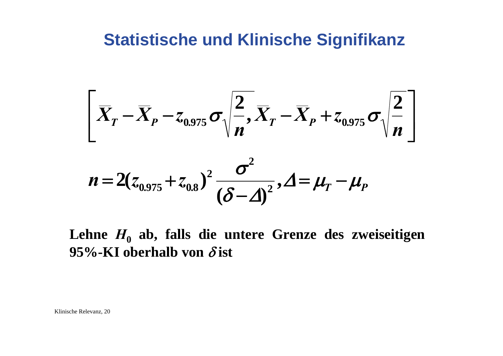### **Statistische und Klinische Signifikanz**

$$
\left[\overline{X}_{T}-\overline{X}_{P}-z_{0.975}\,\sigma\sqrt{\frac{2}{n}},\overline{X}_{T}-\overline{X}_{P}+z_{0.975}\,\sigma\sqrt{\frac{2}{n}}\right]
$$

$$
n = 2(z_{0.975} + z_{0.8})^2 \frac{\sigma^2}{(\delta - \Delta)^2}, \Delta = \mu_T - \mu_P
$$

Lehne  $H_0$  ab, falls die untere Grenze des zweiseitigen 95%-KI oberhalb von  $\delta$  ist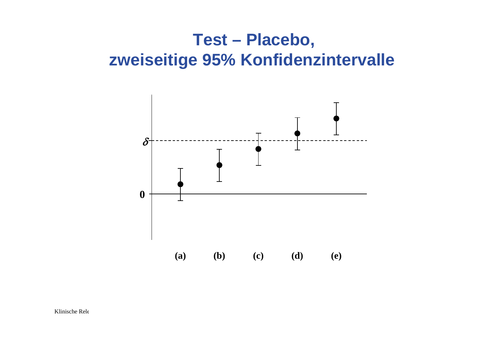## **Test – Placebo, zweiseitige 95% Konfidenzintervalle**

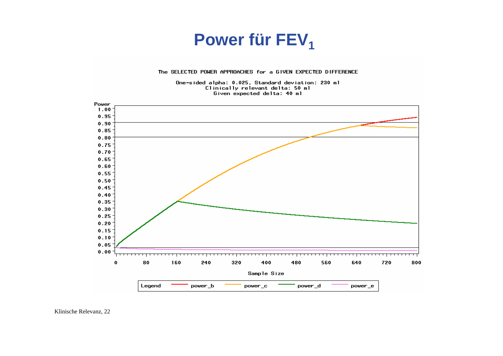

The SELECTED POWER APPROACHES for a GIVEN EXPECTED DIFFERENCE

One-sided alpha: 0.025, Standard deviation: 230 ml Clinically relevant delta: 50 ml Given expected delta: 40 ml

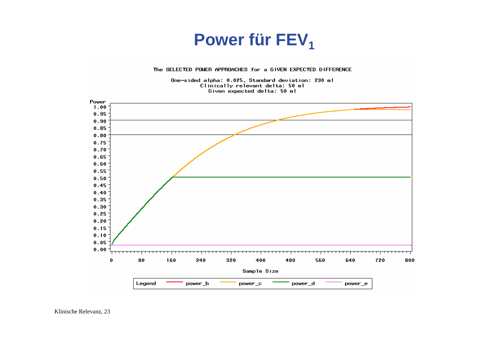

The SELECTED POWER APPROACHES for a GIVEN EXPECTED DIFFERENCE

One-sided alpha: 0.025, Standard deviation: 230 ml Clinically relevant delta: 50 ml Given expected delta: 50 ml

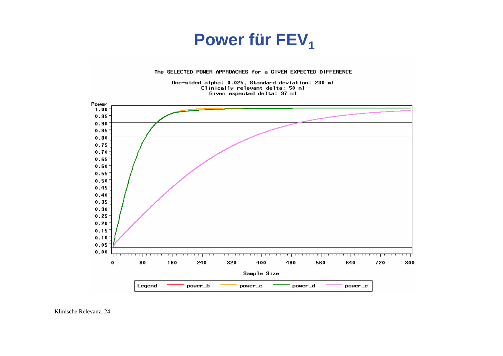

The SELECTED POWER APPROACHES for a GIVEN EXPECTED DIFFERENCE

One-sided alpha: 0.025, Standard deviation: 230 ml Clinically relevant delta: 50 ml Given expected delta: 97 ml

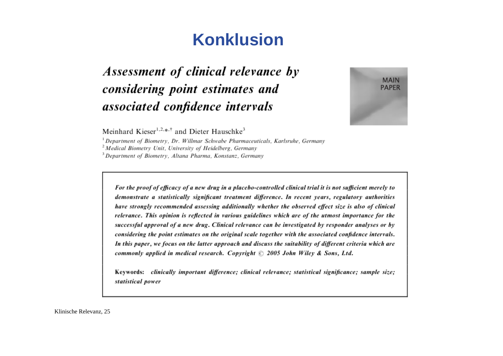## **Konklusion**

#### Assessment of clinical relevance by considering point estimates and associated confidence intervals



Meinhard Kieser<sup>1,2,\*\*</sup> and Dieter Hauschke<sup>3</sup>

<sup>1</sup> Department of Biometry, Dr. Willmar Schwabe Pharmaceuticals, Karlsruhe, Germany <sup>2</sup> Medical Biometry Unit, University of Heidelberg, Germany <sup>3</sup> Department of Biometry, Altana Pharma, Konstanz, Germany

For the proof of efficacy of a new drug in a placebo-controlled clinical trial it is not sufficient merely to demonstrate a statistically significant treatment difference. In recent years, regulatory authorities have strongly recommended assessing additionally whether the observed effect size is also of clinical relevance. This opinion is reflected in various guidelines which are of the utmost importance for the successful approval of a new drug. Clinical relevance can be investigated by responder analyses or by considering the point estimates on the original scale together with the associated confidence intervals. In this paper, we focus on the latter approach and discuss the suitability of different criteria which are commonly applied in medical research. Copyright  $\mathbb{C}$  2005 John Wiley & Sons, Ltd.

Keywords: clinically important difference; clinical relevance; statistical significance; sample size; statistical power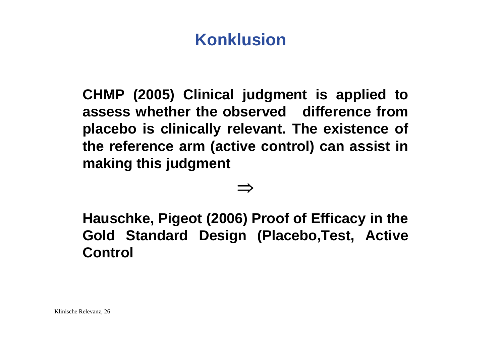## **Konklusion**

**CHMP (2005) Clinical judgment is applied to assess whether the observed difference from placebo is clinically relevant. The existence of the reference arm (active control) can assist in making this judgment**

#### $\Rightarrow$

**Hauschke, Pigeot (2006) Proof of Efficacy in the Gold Standard Design (Placebo,Test, Active Control**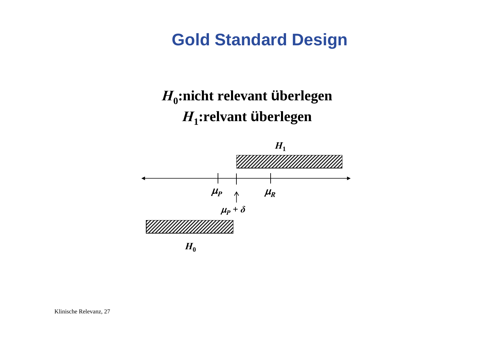## $H_0$ :nicht relevant überlegen  $H_1$ : relvant überlegen

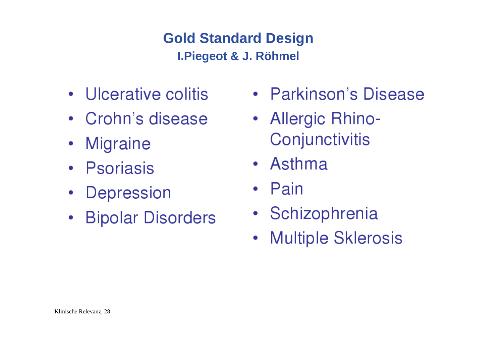**Gold Standard Design** I. Piegeot & J. Röhmel

- Ulcerative colitis
- Crohn's disease
- **Migraine**  $\bullet$
- Psoriasis
- Depression  $\bullet$
- **Bipolar Disorders**  $\bullet$
- Parkinson's Disease
- Allergic Rhino-Conjunctivitis
- Asthma
- $\cdot$  Pain
- Schizophrenia
- **Multiple Sklerosis**  $\bullet$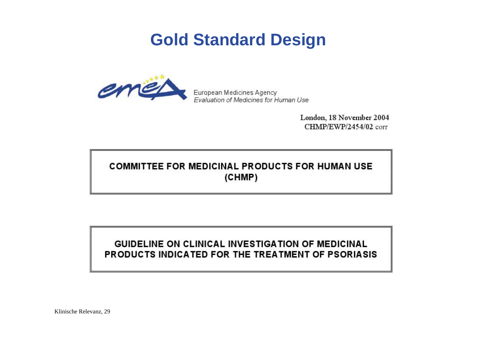

European Medicines Agency Evaluation of Medicines for Human Use

> London, 18 November 2004 CHMP/EWP/2454/02 corr

#### **COMMITTEE FOR MEDICINAL PRODUCTS FOR HUMAN USE** (CHMP)

#### GUIDELINE ON CLINICAL INVESTIGATION OF MEDICINAL PRODUCTS INDICATED FOR THE TREATMENT OF PSORIASIS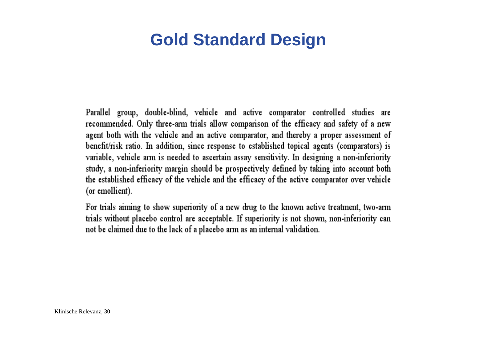Parallel group, double-blind, vehicle and active comparator controlled studies are recommended. Only three-arm trials allow comparison of the efficacy and safety of a new agent both with the vehicle and an active comparator, and thereby a proper assessment of benefit/risk ratio. In addition, since response to established topical agents (comparators) is variable, vehicle arm is needed to ascertain assay sensitivity. In designing a non-inferiority study, a non-inferiority margin should be prospectively defined by taking into account both the established efficacy of the vehicle and the efficacy of the active comparator over vehicle (or emollient).

For trials aiming to show superiority of a new drug to the known active treatment, two-arm trials without placebo control are acceptable. If superiority is not shown, non-inferiority can not be claimed due to the lack of a placebo arm as an internal validation.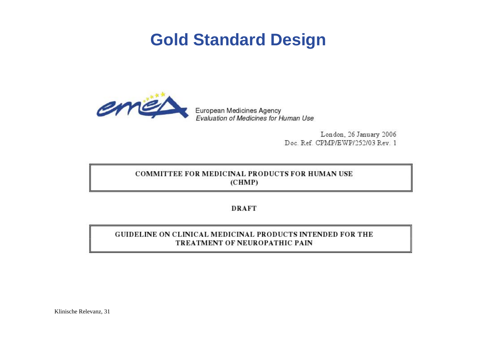

European Medicines Agency Evaluation of Medicines for Human Use

> London, 26 January 2006 Doc. Ref. CPMP/EWP/252/03 Rev. 1

#### COMMITTEE FOR MEDICINAL PRODUCTS FOR HUMAN USE (CHMP)

**DRAFT** 

#### **GUIDELINE ON CLINICAL MEDICINAL PRODUCTS INTENDED FOR THE** TREATMENT OF NEUROPATHIC PAIN

Klinische Relevanz, 31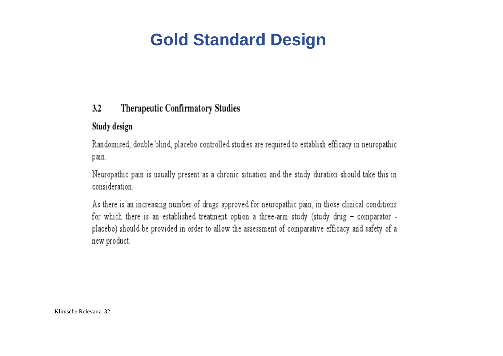#### $3.2$ **Therapeutic Confirmatory Studies**

#### Study design

Randomised, double blind, placebo controlled studies are required to establish efficacy in neuropathic pain.

Neuropathic pain is usually present as a chronic situation and the study duration should take this in consideration.

As there is an increasing number of drugs approved for neuropathic pain, in those clinical conditions for which there is an established treatment option a three-arm study (study drug  $-$  comparator placebo) should be provided in order to allow the assessment of comparative efficacy and safety of a new product.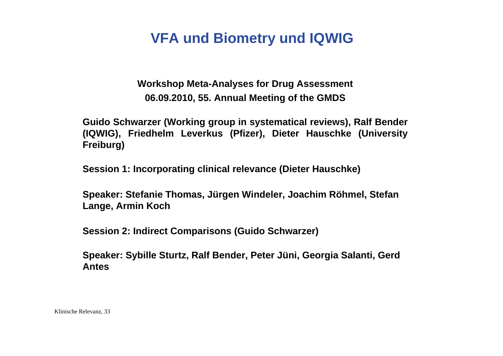#### **VFA und Biometry und IQWIG**

#### **Workshop Meta-Analyses for Drug Assessment 06.09.2010, 55. Annual Meeting of the GMDS**

**Guido Schwarzer (Working group in systematical reviews), Ralf Bender (IQWIG), Friedhelm Leverkus (Pfizer), Dieter Hauschke (University Freiburg)** 

**Session 1: Incorporating clinical relevance (Dieter Hauschke)**

**Speaker: Stefanie Thomas, Jürgen Windeler, Joachim Röhmel, Stefan Lange, Armin Koch** 

**Session 2: Indirect Comparisons (Guido Schwarzer)**

**Speaker: Sybille Sturtz, Ralf Bender, Peter Jüni, Georgia Salanti, Gerd Antes**